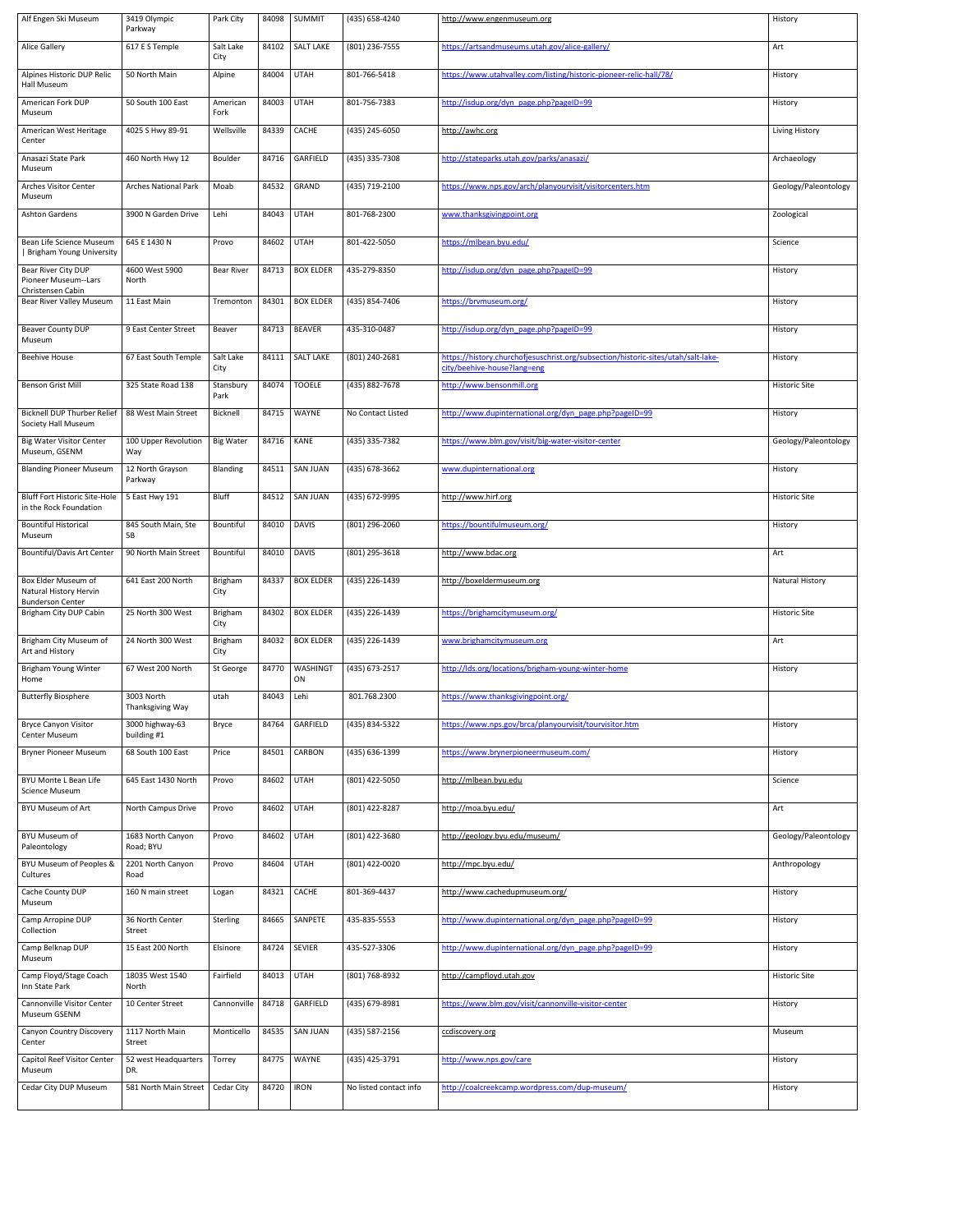| Alf Engen Ski Museum                                                     | 3419 Olympic<br>Parkway            | Park City              | 84098 | <b>SUMMIT</b>         | (435) 658-4240         | http://www.engenmuseum.org                                                                                       | History                |
|--------------------------------------------------------------------------|------------------------------------|------------------------|-------|-----------------------|------------------------|------------------------------------------------------------------------------------------------------------------|------------------------|
| <b>Alice Gallery</b>                                                     | 617 E S Temple                     | Salt Lake<br>City      | 84102 | <b>SALT LAKE</b>      | (801) 236-7555         | https://artsandmuseums.utah.gov/alice-gallery/                                                                   | Art                    |
| Alpines Historic DUP Relic<br>Hall Museum                                | 50 North Main                      | Alpine                 | 84004 | <b>UTAH</b>           | 801-766-5418           | https://www.utahvalley.com/listing/historic-pioneer-relic-hall/78/                                               | History                |
| American Fork DUP<br>Museum                                              | 50 South 100 East                  | American<br>Fork       | 84003 | <b>UTAH</b>           | 801-756-7383           | http://isdup.org/dyn_page.php?pageID=99                                                                          | History                |
| American West Heritage<br>Center                                         | 4025 S Hwy 89-91                   | Wellsville             | 84339 | CACHE                 | (435) 245-6050         | http://awhc.org                                                                                                  | Living History         |
| Anasazi State Park<br>Museum                                             | 460 North Hwy 12                   | Boulder                | 84716 | GARFIELD              | (435) 335-7308         | http://stateparks.utah.gov/parks/anasazi/                                                                        | Archaeology            |
| <b>Arches Visitor Center</b><br>Museum                                   | <b>Arches National Park</b>        | Moab                   | 84532 | GRAND                 | (435) 719-2100         | https://www.nps.gov/arch/planyourvisit/visitorcenters.htm                                                        | Geology/Paleontology   |
| <b>Ashton Gardens</b>                                                    | 3900 N Garden Drive                | Lehi                   | 84043 | <b>UTAH</b>           | 801-768-2300           | www.thanksgivingpoint.org                                                                                        | Zoological             |
| Bean Life Science Museum<br><b>Brigham Young University</b>              | 645 E 1430 N                       | Provo                  | 84602 | <b>UTAH</b>           | 801-422-5050           | https://mlbean.byu.edu/                                                                                          | Science                |
| Bear River City DUP<br>Pioneer Museum--Lars<br>Christensen Cabin         | 4600 West 5900<br>North            | <b>Bear River</b>      | 84713 | <b>BOX ELDER</b>      | 435-279-8350           | http://isdup.org/dyn_page.php?pageID=99                                                                          | History                |
| Bear River Valley Museum                                                 | 11 East Main                       | Tremonton              | 84301 | <b>BOX ELDER</b>      | (435) 854-7406         | https://brvmuseum.org/                                                                                           | History                |
| Beaver County DUP<br>Museum                                              | 9 East Center Street               | Beaver                 | 84713 | <b>BEAVER</b>         | 435-310-0487           | http://isdup.org/dyn_page.php?pageID=99                                                                          | History                |
| <b>Beehive House</b>                                                     | 67 East South Temple               | Salt Lake<br>City      |       | 84111   SALT LAKE     | (801) 240-2681         | https://history.churchofjesuschrist.org/subsection/historic-sites/utah/salt-lake-<br>city/beehive-house?lang=eng | History                |
| <b>Benson Grist Mill</b>                                                 | 325 State Road 138                 | Stansbury<br>Park      | 84074 | <b>TOOELE</b>         | (435) 882-7678         | http://www.bensonmill.org                                                                                        | <b>Historic Site</b>   |
| <b>Bicknell DUP Thurber Relief</b><br><b>Society Hall Museum</b>         | 88 West Main Street                | Bicknell               | 84715 | <b>WAYNE</b>          | No Contact Listed      | http://www.dupinternational.org/dyn_page.php?pageID=99                                                           | History                |
| <b>Big Water Visitor Center</b><br>Museum, GSENM                         | 100 Upper Revolution<br>Way        | <b>Big Water</b>       | 84716 | <b>KANE</b>           | (435) 335-7382         | https://www.blm.gov/visit/big-water-visitor-center                                                               | Geology/Paleontology   |
| <b>Blanding Pioneer Museum</b>                                           | 12 North Grayson<br>Parkway        | <b>Blanding</b>        | 84511 | <b>SAN JUAN</b>       | (435) 678-3662         | www.dupinternational.org                                                                                         | History                |
| <b>Bluff Fort Historic Site-Hole</b><br>in the Rock Foundation           | 5 East Hwy 191                     | <b>Bluff</b>           | 84512 | <b>SAN JUAN</b>       | (435) 672-9995         | http://www.hirf.org                                                                                              | <b>Historic Site</b>   |
| <b>Bountiful Historical</b><br>Museum                                    | 845 South Main, Ste<br>5B          | Bountiful              | 84010 | <b>DAVIS</b>          | (801) 296-2060         | https://bountifulmuseum.org/                                                                                     | History                |
| <b>Bountiful/Davis Art Center</b>                                        | 90 North Main Street               | Bountiful              | 84010 | <b>DAVIS</b>          | (801) 295-3618         | http://www.bdac.org                                                                                              | Art                    |
| Box Elder Museum of<br>Natural History Hervin<br><b>Bunderson Center</b> | 641 East 200 North                 | <b>Brigham</b><br>City | 84337 | <b>BOX ELDER</b>      | (435) 226-1439         | http://boxeldermuseum.org                                                                                        | <b>Natural History</b> |
| Brigham City DUP Cabin                                                   | 25 North 300 West                  | <b>Brigham</b><br>City | 84302 | <b>BOX ELDER</b>      | (435) 226-1439         | https://brighamcitymuseum.org/                                                                                   | <b>Historic Site</b>   |
| Brigham City Museum of<br>Art and History                                | 24 North 300 West                  | <b>Brigham</b><br>City | 84032 | <b>BOX ELDER</b>      | (435) 226-1439         | www.brighamcitymuseum.org                                                                                        | Art                    |
| <b>Brigham Young Winter</b><br>Home                                      | 67 West 200 North                  | St George              | 84770 | <b>WASHINGT</b><br>ON | (435) 673-2517         | http://lds.org/locations/brigham-young-winter-home                                                               | History                |
| <b>Butterfly Biosphere</b>                                               | 3003 North<br>Thanksgiving Way     | utah                   | 84043 | Lehi                  | 801.768.2300           | https://www.thanksgivingpoint.org/                                                                               |                        |
| <b>Bryce Canyon Visitor</b><br><b>Center Museum</b>                      | 3000 highway-63<br>building #1     | <b>Bryce</b>           | 84764 | GARFIELD              | (435) 834-5322         | https://www.nps.gov/brca/planyourvisit/tourvisitor.htm                                                           | History                |
| <b>Bryner Pioneer Museum</b>                                             | 68 South 100 East                  | Price                  | 84501 | <b>CARBON</b>         | (435) 636-1399         | https://www.brynerpioneermuseum.com/                                                                             | History                |
| <b>BYU Monte L Bean Life</b><br><b>Science Museum</b>                    | 645 East 1430 North                | Provo                  | 84602 | <b>UTAH</b>           | (801) 422-5050         | http://mlbean.byu.edu                                                                                            | Science                |
| <b>BYU Museum of Art</b>                                                 | North Campus Drive                 | Provo                  | 84602 | <b>UTAH</b>           | (801) 422-8287         | http://moa.byu.edu/                                                                                              | Art                    |
| <b>BYU Museum of</b><br>Paleontology                                     | 1683 North Canyon<br>Road; BYU     | Provo                  | 84602 | <b>UTAH</b>           | (801) 422-3680         | http://geology.byu.edu/museum/                                                                                   | Geology/Paleontology   |
| BYU Museum of Peoples &<br>Cultures                                      | 2201 North Canyon<br>Road          | Provo                  | 84604 | <b>UTAH</b>           | (801) 422-0020         | http://mpc.byu.edu/                                                                                              | Anthropology           |
| Cache County DUP<br>Museum                                               | 160 N main street                  | Logan                  | 84321 | CACHE                 | 801-369-4437           | http://www.cachedupmuseum.org/                                                                                   | History                |
| Camp Arropine DUP<br>Collection                                          | 36 North Center<br>Street          | Sterling               | 84665 | SANPETE               | 435-835-5553           | http://www.dupinternational.org/dyn_page.php?pageID=99                                                           | History                |
| Camp Belknap DUP<br>Museum                                               | 15 East 200 North                  | Elsinore               | 84724 | <b>SEVIER</b>         | 435-527-3306           | http://www.dupinternational.org/dyn_page.php?pageID=99                                                           | History                |
| Camp Floyd/Stage Coach<br>Inn State Park                                 | 18035 West 1540<br>North           | Fairfield              | 84013 | <b>UTAH</b>           | (801) 768-8932         | http://campfloyd.utah.gov                                                                                        | <b>Historic Site</b>   |
| <b>Cannonville Visitor Center</b><br>Museum GSENM                        | 10 Center Street                   | Cannonville            | 84718 | GARFIELD              | (435) 679-8981         | https://www.blm.gov/visit/cannonville-visitor-center                                                             | History                |
| Canyon Country Discovery<br>Center                                       | 1117 North Main<br>Street          | Monticello             | 84535 | <b>SAN JUAN</b>       | (435) 587-2156         | ccdiscovery.org                                                                                                  | Museum                 |
| Capitol Reef Visitor Center<br>Museum                                    | 52 west Headquarters<br>DR.        | Torrey                 |       | 84775 WAYNE           | (435) 425-3791         | http://www.nps.gov/care                                                                                          | History                |
| Cedar City DUP Museum                                                    | 581 North Main Street   Cedar City |                        | 84720 | <b>IRON</b>           | No listed contact info | http://coalcreekcamp.wordpress.com/dup-museum/                                                                   | History                |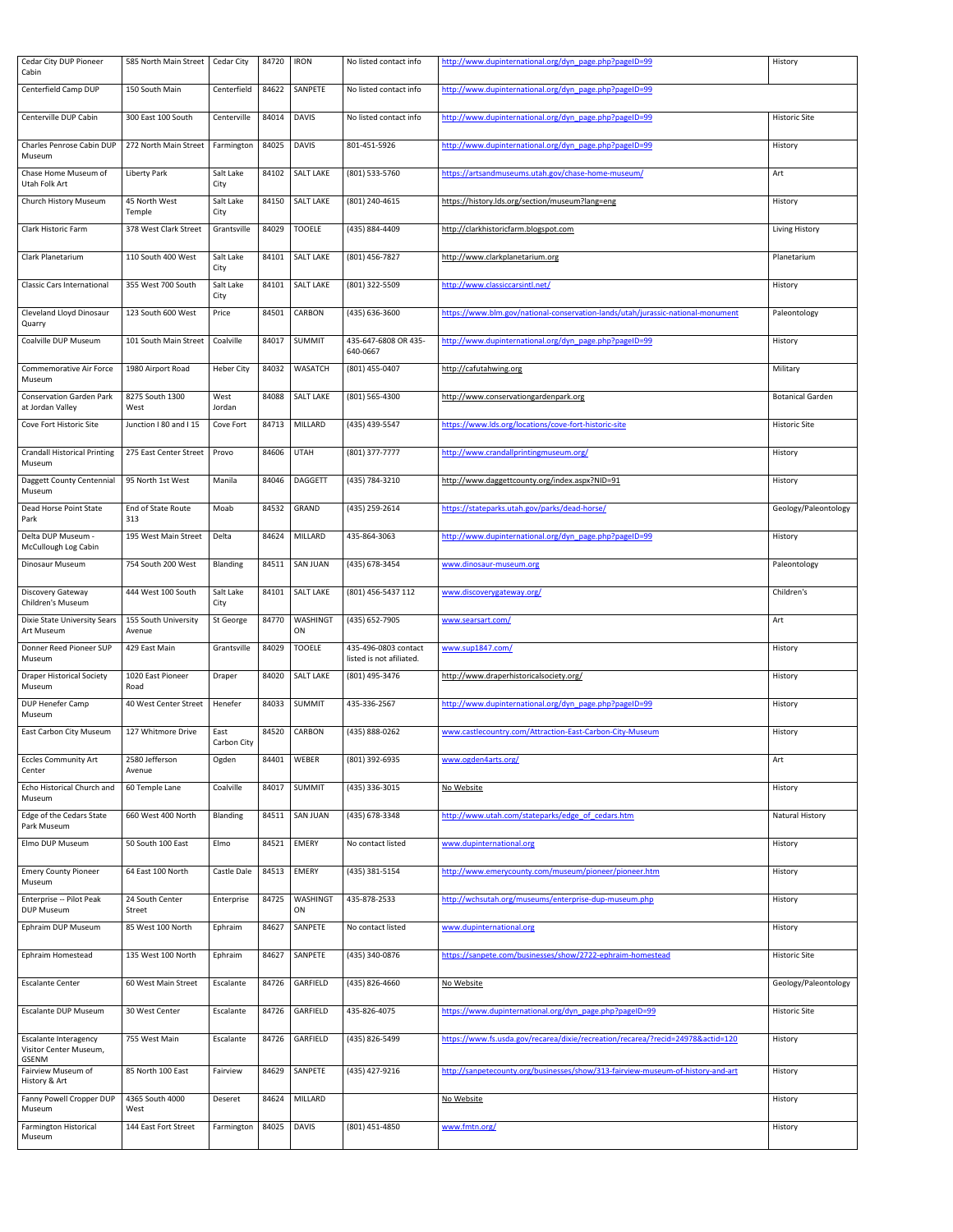| <b>Cedar City DUP Pioneer</b><br>Cabin                 | 585 North Main Street          | Cedar City          | 84720 | <b>IRON</b>           | No listed contact info                           | http://www.dupinternational.org/dyn_page.php?pageID=99                          | History                 |
|--------------------------------------------------------|--------------------------------|---------------------|-------|-----------------------|--------------------------------------------------|---------------------------------------------------------------------------------|-------------------------|
| Centerfield Camp DUP                                   | 150 South Main                 | Centerfield         | 84622 | SANPETE               | No listed contact info                           | http://www.dupinternational.org/dyn_page.php?pageID=99                          |                         |
| Centerville DUP Cabin                                  | 300 East 100 South             | Centerville         | 84014 | <b>DAVIS</b>          | No listed contact info                           | http://www.dupinternational.org/dyn_page.php?pageID=99                          | <b>Historic Site</b>    |
| Charles Penrose Cabin DUP<br>Museum                    | 272 North Main Street          | Farmington          | 84025 | <b>DAVIS</b>          | 801-451-5926                                     | http://www.dupinternational.org/dyn_page.php?pageID=99                          | History                 |
| Chase Home Museum of<br>Utah Folk Art                  | <b>Liberty Park</b>            | Salt Lake<br>City   |       | 84102   SALT LAKE     | (801) 533-5760                                   | https://artsandmuseums.utah.gov/chase-home-museum/                              | Art                     |
| Church History Museum                                  | 45 North West<br>Temple        | Salt Lake<br>City   | 84150 | <b>SALT LAKE</b>      | (801) 240-4615                                   | https://history.lds.org/section/museum?lang=eng                                 | History                 |
| Clark Historic Farm                                    | 378 West Clark Street          | Grantsville         | 84029 | <b>TOOELE</b>         | (435) 884-4409                                   | http://clarkhistoricfarm.blogspot.com                                           | Living History          |
| Clark Planetarium                                      | 110 South 400 West             | Salt Lake<br>City   | 84101 | <b>SALT LAKE</b>      | (801) 456-7827                                   | http://www.clarkplanetarium.org                                                 | Planetarium             |
| <b>Classic Cars International</b>                      | 355 West 700 South             | Salt Lake<br>City   | 84101 | <b>SALT LAKE</b>      | (801) 322-5509                                   | http://www.classiccarsintl.net/                                                 | History                 |
| Cleveland Lloyd Dinosaur<br>Quarry                     | 123 South 600 West             | Price               | 84501 | <b>CARBON</b>         | (435) 636-3600                                   | https://www.blm.gov/national-conservation-lands/utah/jurassic-national-monument | Paleontology            |
| Coalville DUP Museum                                   | 101 South Main Street          | Coalville           | 84017 | <b>SUMMIT</b>         | 435-647-6808 OR 435-<br>640-0667                 | http://www.dupinternational.org/dyn_page.php?pageID=99                          | History                 |
| <b>Commemorative Air Force</b><br>Museum               | 1980 Airport Road              | Heber City          | 84032 | <b>WASATCH</b>        | (801) 455-0407                                   | http://cafutahwing.org                                                          | Military                |
| <b>Conservation Garden Park</b><br>at Jordan Valley    | 8275 South 1300<br>West        | West<br>Jordan      |       | 84088   SALT LAKE     | (801) 565-4300                                   | http://www.conservationgardenpark.org                                           | <b>Botanical Garden</b> |
| Cove Fort Historic Site                                | Junction I 80 and I 15         | Cove Fort           | 84713 | MILLARD               | (435) 439-5547                                   | https://www.lds.org/locations/cove-fort-historic-site                           | <b>Historic Site</b>    |
| <b>Crandall Historical Printing</b><br>Museum          | 275 East Center Street         | Provo               | 84606 | <b>UTAH</b>           | (801) 377-7777                                   | http://www.crandallprintingmuseum.org/                                          | History                 |
| Daggett County Centennial<br>Museum                    | 95 North 1st West              | Manila              | 84046 | <b>DAGGETT</b>        | (435) 784-3210                                   | http://www.daggettcounty.org/index.aspx?NID=91                                  | History                 |
| Dead Horse Point State<br>Park                         | End of State Route<br>313      | Moab                | 84532 | GRAND                 | (435) 259-2614                                   | https://stateparks.utah.gov/parks/dead-horse/                                   | Geology/Paleontology    |
| Delta DUP Museum -<br>McCullough Log Cabin             | 195 West Main Street           | Delta               | 84624 | MILLARD               | 435-864-3063                                     | http://www.dupinternational.org/dyn_page.php?pageID=99                          | History                 |
| <b>Dinosaur Museum</b>                                 | 754 South 200 West             | Blanding            | 84511 | <b>SAN JUAN</b>       | (435) 678-3454                                   | www.dinosaur-museum.org                                                         | Paleontology            |
| Discovery Gateway<br><b>Children's Museum</b>          | 444 West 100 South             | Salt Lake<br>City   | 84101 | <b>SALT LAKE</b>      | (801) 456-5437 112                               | www.discoverygateway.org/                                                       | Children's              |
| Dixie State University Sears<br>Art Museum             | 155 South University<br>Avenue | St George           | 84770 | <b>WASHINGT</b><br>ON | (435) 652-7905                                   | www.searsart.com/                                                               | Art                     |
| Donner Reed Pioneer SUP<br>Museum                      | 429 East Main                  | Grantsville         | 84029 | <b>TOOELE</b>         | 435-496-0803 contact<br>listed is not afiliated. | www.sup1847.com/                                                                | History                 |
| <b>Draper Historical Society</b><br>Museum             | 1020 East Pioneer<br>Road      | Draper              | 84020 | <b>SALT LAKE</b>      | (801) 495-3476                                   | http://www.draperhistoricalsociety.org/                                         | History                 |
| DUP Henefer Camp<br>Museum                             | 40 West Center Street          | Henefer             | 84033 | <b>SUMMIT</b>         | 435-336-2567                                     | http://www.dupinternational.org/dyn_page.php?pageID=99                          | History                 |
| <b>East Carbon City Museum</b>                         | 127 Whitmore Drive             | East<br>Carbon City | 84520 | <b>CARBON</b>         | (435) 888-0262                                   | www.castlecountry.com/Attraction-East-Carbon-City-Museum                        | History                 |
| <b>Eccles Community Art</b><br>Center                  | 2580 Jefferson<br>Avenue       | Ogden               | 84401 | WEBER                 | (801) 392-6935                                   | www.ogden4arts.org/                                                             | Art                     |
| Echo Historical Church and<br>Museum                   | 60 Temple Lane                 | Coalville           | 84017 | <b>SUMMIT</b>         | (435) 336-3015                                   | No Website                                                                      | History                 |
| Edge of the Cedars State<br>Park Museum                | 660 West 400 North             | <b>Blanding</b>     | 84511 | <b>SAN JUAN</b>       | (435) 678-3348                                   | http://www.utah.com/stateparks/edge of cedars.htm                               | <b>Natural History</b>  |
| Elmo DUP Museum                                        | 50 South 100 East              | Elmo                | 84521 | <b>EMERY</b>          | No contact listed                                | www.dupinternational.org                                                        | History                 |
| <b>Emery County Pioneer</b><br>Museum                  | 64 East 100 North              | Castle Dale         | 84513 | <b>EMERY</b>          | (435) 381-5154                                   | http://www.emerycounty.com/museum/pioneer/pioneer.htm                           | History                 |
| Enterprise -- Pilot Peak<br><b>DUP Museum</b>          | 24 South Center<br>Street      | Enterprise          | 84725 | <b>WASHINGT</b><br>ON | 435-878-2533                                     | http://wchsutah.org/museums/enterprise-dup-museum.php                           | History                 |
| Ephraim DUP Museum                                     | 85 West 100 North              | Ephraim             | 84627 | SANPETE               | No contact listed                                | www.dupinternational.org                                                        | History                 |
| Ephraim Homestead                                      | 135 West 100 North             | Ephraim             | 84627 | SANPETE               | (435) 340-0876                                   | https://sanpete.com/businesses/show/2722-ephraim-homestead                      | <b>Historic Site</b>    |
| <b>Escalante Center</b>                                | 60 West Main Street            | Escalante           | 84726 | GARFIELD              | (435) 826-4660                                   | No Website                                                                      | Geology/Paleontology    |
| <b>Escalante DUP Museum</b>                            | 30 West Center                 | Escalante           | 84726 | GARFIELD              | 435-826-4075                                     | https://www.dupinternational.org/dyn_page.php?pageID=99                         | <b>Historic Site</b>    |
| <b>Escalante Interagency</b><br>Visitor Center Museum, | 755 West Main                  | Escalante           | 84726 | GARFIELD              | (435) 826-5499                                   | https://www.fs.usda.gov/recarea/dixie/recreation/recarea/?recid=24978&actid=120 | History                 |
| GSENM<br>Fairview Museum of<br>History & Art           | 85 North 100 East              | Fairview            | 84629 | SANPETE               | (435) 427-9216                                   | http://sanpetecounty.org/businesses/show/313-fairview-museum-of-history-and-art | History                 |
| Fanny Powell Cropper DUP<br>Museum                     | 4365 South 4000<br>West        | Deseret             |       | 84624 MILLARD         |                                                  | No Website                                                                      | History                 |
| Farmington Historical<br>Museum                        | 144 East Fort Street           | Farmington   84025  |       | <b>DAVIS</b>          | (801) 451-4850                                   | www.fmtn.org/                                                                   | History                 |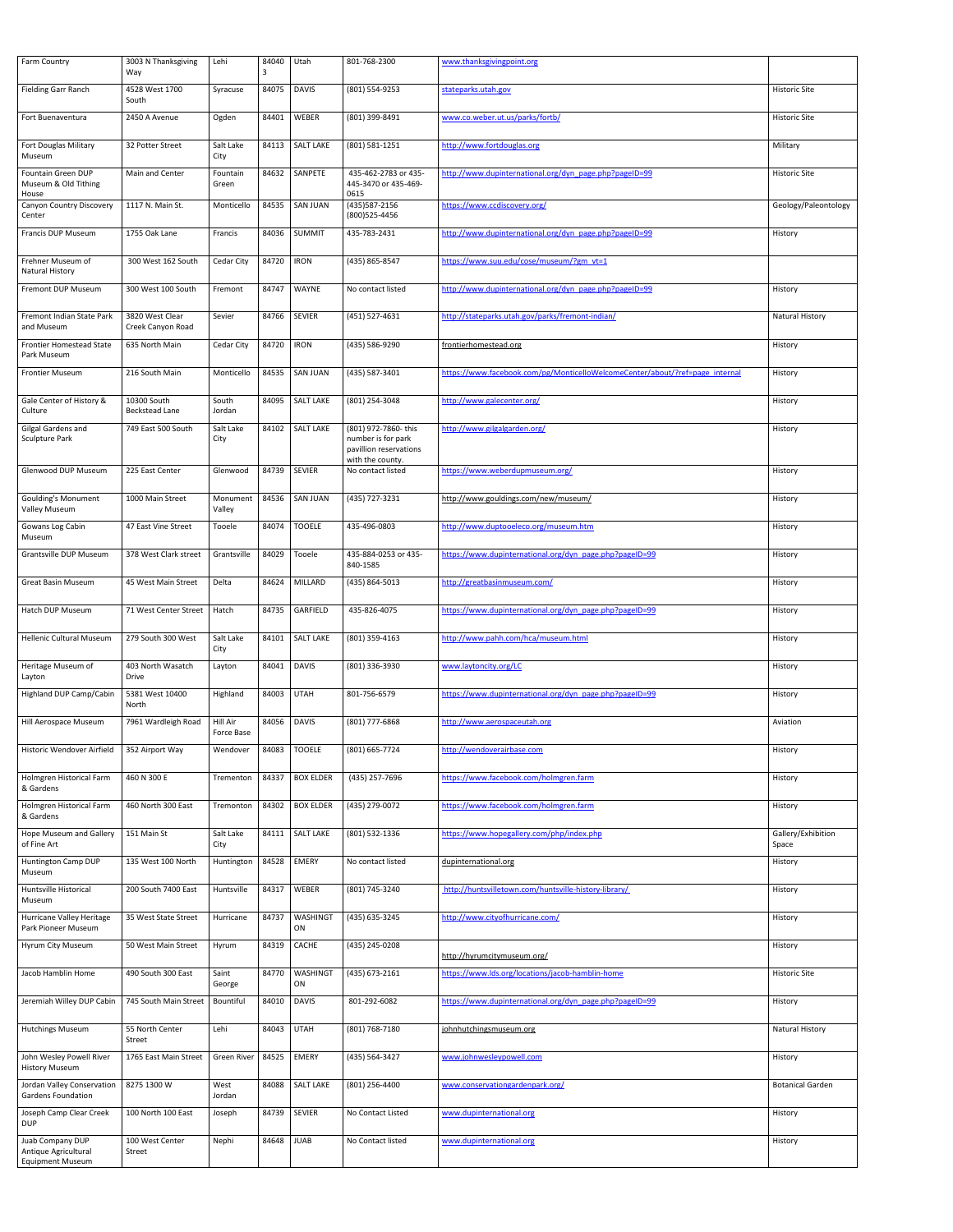| <b>Farm Country</b>                                     | 3003 N Thanksgiving<br>Way           | Lehi                   | 84040<br>3 | Utah                  | 801-768-2300                                                         | www.thanksgivingpoint.org                                                    |                             |
|---------------------------------------------------------|--------------------------------------|------------------------|------------|-----------------------|----------------------------------------------------------------------|------------------------------------------------------------------------------|-----------------------------|
| <b>Fielding Garr Ranch</b>                              | 4528 West 1700<br>South              | Syracuse               | 84075      | <b>DAVIS</b>          | (801) 554-9253                                                       | stateparks.utah.gov                                                          | <b>Historic Site</b>        |
| Fort Buenaventura                                       | 2450 A Avenue                        | Ogden                  | 84401      | WEBER                 | (801) 399-8491                                                       | www.co.weber.ut.us/parks/fortb/                                              | <b>Historic Site</b>        |
| Fort Douglas Military<br>Museum                         | 32 Potter Street                     | Salt Lake<br>City      | 84113      | <b>SALT LAKE</b>      | (801) 581-1251                                                       | http://www.fortdouglas.org                                                   | Military                    |
| Fountain Green DUP<br>Museum & Old Tithing<br>House     | Main and Center                      | Fountain<br>Green      | 84632      | SANPETE               | 435-462-2783 or 435-<br>445-3470 or 435-469-<br>0615                 | http://www.dupinternational.org/dyn_page.php?pageID=99                       | <b>Historic Site</b>        |
| <b>Canyon Country Discovery</b><br>Center               | 1117 N. Main St.                     | Monticello             | 84535      | <b>SAN JUAN</b>       | (435) 587-2156<br>(800) 525-4456                                     | https://www.ccdiscovery.org/                                                 | Geology/Paleontology        |
| <b>Francis DUP Museum</b>                               | 1755 Oak Lane                        | Francis                | 84036      | <b>SUMMIT</b>         | 435-783-2431                                                         | http://www.dupinternational.org/dyn_page.php?pageID=99                       | History                     |
| Frehner Museum of<br><b>Natural History</b>             | 300 West 162 South                   | Cedar City             | 84720      | <b>IRON</b>           | (435) 865-8547                                                       | https://www.suu.edu/cose/museum/?gm vt=1                                     |                             |
| Fremont DUP Museum                                      | 300 West 100 South                   | Fremont                | 84747      | WAYNE                 | No contact listed                                                    | http://www.dupinternational.org/dyn_page.php?pageID=99                       | History                     |
| Fremont Indian State Park<br>and Museum                 | 3820 West Clear<br>Creek Canyon Road | Sevier                 | 84766      | <b>SEVIER</b>         | (451) 527-4631                                                       | http://stateparks.utah.gov/parks/fremont-indian/                             | <b>Natural History</b>      |
| <b>Frontier Homestead State</b><br>Park Museum          | 635 North Main                       | Cedar City             | 84720      | <b>IRON</b>           | (435) 586-9290                                                       | frontierhomestead.org                                                        | History                     |
| <b>Frontier Museum</b>                                  | 216 South Main                       | Monticello             | 84535      | <b>SAN JUAN</b>       | (435) 587-3401                                                       | https://www.facebook.com/pg/MonticelloWelcomeCenter/about/?ref=page internal | History                     |
| Gale Center of History &<br>Culture                     | 10300 South<br><b>Beckstead Lane</b> | South<br>Jordan        |            | 84095   SALT LAKE     | (801) 254-3048                                                       | http://www.galecenter.org/                                                   | History                     |
| Gilgal Gardens and<br>Sculpture Park                    | 749 East 500 South                   | Salt Lake<br>City      | 84102      | <b>SALT LAKE</b>      | (801) 972-7860- this<br>number is for park<br>pavillion reservations | http://www.gilgalgarden.org/                                                 | History                     |
| <b>Glenwood DUP Museum</b>                              | 225 East Center                      | Glenwood               | 84739      | <b>SEVIER</b>         | with the county.<br>No contact listed                                | https://www.weberdupmuseum.org/                                              | History                     |
| <b>Goulding's Monument</b><br><b>Valley Museum</b>      | 1000 Main Street                     | Monument<br>Valley     | 84536      | <b>SAN JUAN</b>       | (435) 727-3231                                                       | http://www.gouldings.com/new/museum/                                         | History                     |
| Gowans Log Cabin<br>Museum                              | 47 East Vine Street                  | Tooele                 | 84074      | <b>TOOELE</b>         | 435-496-0803                                                         | http://www.duptooeleco.org/museum.htm                                        | History                     |
| <b>Grantsville DUP Museum</b>                           | 378 West Clark street                | Grantsville            | 84029      | Tooele                | 435-884-0253 or 435-<br>840-1585                                     | https://www.dupinternational.org/dyn_page.php?pageID=99                      | History                     |
| <b>Great Basin Museum</b>                               | 45 West Main Street                  | Delta                  | 84624      | MILLARD               | (435) 864-5013                                                       | http://greatbasinmuseum.com/                                                 | History                     |
| <b>Hatch DUP Museum</b>                                 | 71 West Center Street                | Hatch                  | 84735      | GARFIELD              | 435-826-4075                                                         | https://www.dupinternational.org/dyn_page.php?pageID=99                      | History                     |
| <b>Hellenic Cultural Museum</b>                         | 279 South 300 West                   | Salt Lake<br>City      | 84101      | <b>SALT LAKE</b>      | (801) 359-4163                                                       | http://www.pahh.com/hca/museum.html                                          | History                     |
| Heritage Museum of<br>Layton                            | 403 North Wasatch<br>Drive           | Layton                 | 84041      | <b>DAVIS</b>          | (801) 336-3930                                                       | www.laytoncity.org/LC                                                        | History                     |
| Highland DUP Camp/Cabin                                 | 5381 West 10400<br>North             | Highland               | 84003      | <b>UTAH</b>           | 801-756-6579                                                         | https://www.dupinternational.org/dyn_page.php?pageID=99                      | History                     |
| Hill Aerospace Museum                                   | 7961 Wardleigh Road                  | Hill Air<br>Force Base | 84056      | <b>DAVIS</b>          | (801) 777-6868                                                       | http://www.aerospaceutah.org                                                 | Aviation                    |
| Historic Wendover Airfield                              | 352 Airport Way                      | Wendover               |            | 84083   TOOELE        | (801) 665-7724                                                       | http://wendoverairbase.com                                                   | History                     |
| Holmgren Historical Farm<br>& Gardens                   | 460 N 300 E                          | Trementon              | 84337      | <b>BOX ELDER</b>      | (435) 257-7696                                                       | https://www.facebook.com/holmgren.farm                                       | History                     |
| Holmgren Historical Farm<br>& Gardens                   | 460 North 300 East                   | Tremonton              | 84302      | <b>BOX ELDER</b>      | (435) 279-0072                                                       | https://www.facebook.com/holmgren.farm                                       | History                     |
| <b>Hope Museum and Gallery</b><br>of Fine Art           | 151 Main St                          | Salt Lake<br>City      |            | 84111   SALT LAKE     | (801) 532-1336                                                       | https://www.hopegallery.com/php/index.php                                    | Gallery/Exhibition<br>Space |
| Huntington Camp DUP<br>Museum                           | 135 West 100 North                   | Huntington             | 84528      | <b>EMERY</b>          | No contact listed                                                    | dupinternational.org                                                         | History                     |
| Huntsville Historical<br>Museum                         | 200 South 7400 East                  | Huntsville             | 84317      | <b>WEBER</b>          | (801) 745-3240                                                       | http://huntsvilletown.com/huntsville-history-library/                        | History                     |
| Hurricane Valley Heritage<br>Park Pioneer Museum        | 35 West State Street                 | Hurricane              | 84737      | <b>WASHINGT</b><br>ON | (435) 635-3245                                                       | http://www.cityofhurricane.com/                                              | History                     |
| Hyrum City Museum                                       | 50 West Main Street                  | Hyrum                  | 84319      | <b>CACHE</b>          | (435) 245-0208                                                       | http://hyrumcitymuseum.org/                                                  | History                     |
| Jacob Hamblin Home                                      | 490 South 300 East                   | Saint<br>George        | 84770      | <b>WASHINGT</b><br>ON | (435) 673-2161                                                       | https://www.lds.org/locations/jacob-hamblin-home                             | <b>Historic Site</b>        |
| Jeremiah Willey DUP Cabin                               | 745 South Main Street                | Bountiful              | 84010      | <b>DAVIS</b>          | 801-292-6082                                                         | https://www.dupinternational.org/dyn_page.php?pageID=99                      | History                     |
| <b>Hutchings Museum</b>                                 | 55 North Center<br>Street            | Lehi                   | 84043      | <b>UTAH</b>           | (801) 768-7180                                                       | johnhutchingsmuseum.org                                                      | <b>Natural History</b>      |
| John Wesley Powell River<br><b>History Museum</b>       | 1765 East Main Street                | <b>Green River</b>     | 84525      | <b>EMERY</b>          | (435) 564-3427                                                       | www.johnwesleypowell.com                                                     | History                     |
| Jordan Valley Conservation<br><b>Gardens Foundation</b> | 8275 1300 W                          | West<br>Jordan         | 84088      | <b>SALT LAKE</b>      | (801) 256-4400                                                       | www.conservationgardenpark.org/                                              | <b>Botanical Garden</b>     |
| Joseph Camp Clear Creek<br><b>DUP</b>                   | 100 North 100 East                   | Joseph                 | 84739      | <b>SEVIER</b>         | No Contact Listed                                                    | www.dupinternational.org                                                     | History                     |
| Juab Company DUP                                        | 100 West Center                      | Nephi                  | 84648      | <b>JUAB</b>           | No Contact listed                                                    | www.dupinternational.org                                                     | History                     |
| Antique Agricultural<br><b>Equipment Museum</b>         | Street                               |                        |            |                       |                                                                      |                                                                              |                             |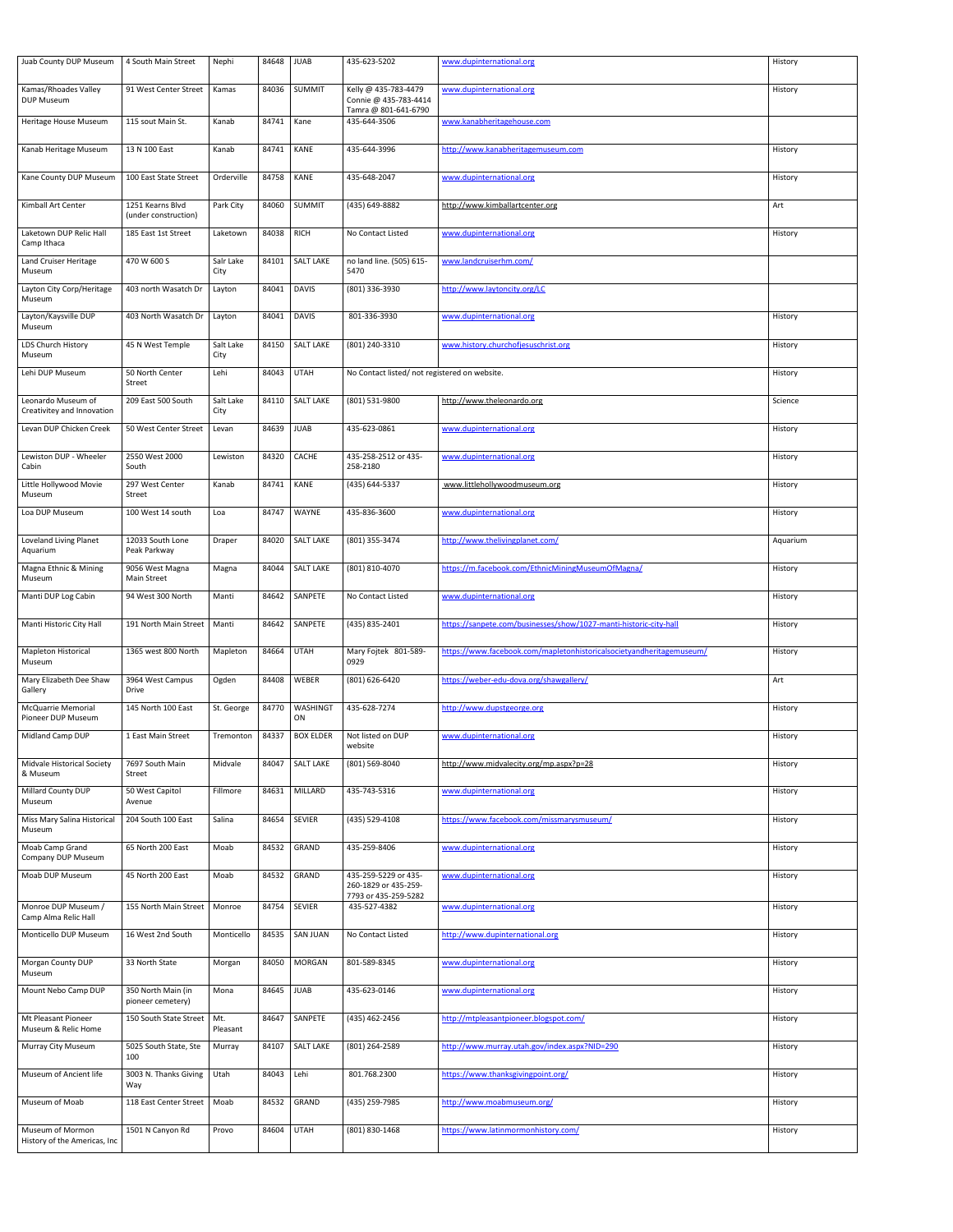| Juab County DUP Museum                           | 4 South Main Street                      | Nephi             | 84648 | <b>JUAB</b>                | 435-623-5202                                  | www.dupinternational.org                                             | History  |
|--------------------------------------------------|------------------------------------------|-------------------|-------|----------------------------|-----------------------------------------------|----------------------------------------------------------------------|----------|
| Kamas/Rhoades Valley<br>DUP Museum               | 91 West Center Street                    | Kamas             | 84036 | <b>SUMMIT</b>              | Kelly @ 435-783-4479<br>Connie @ 435-783-4414 | www.dupinternational.org                                             | History  |
| Heritage House Museum                            | 115 sout Main St.                        | Kanab             | 84741 | Kane                       | Tamra @ 801-641-6790<br>435-644-3506          | www.kanabheritagehouse.com                                           |          |
| Kanab Heritage Museum                            | 13 N 100 East                            | Kanab             | 84741 | <b>KANE</b>                | 435-644-3996                                  | http://www.kanabheritagemuseum.com                                   | History  |
| Kane County DUP Museum                           | 100 East State Street                    | Orderville        | 84758 | <b>KANE</b>                | 435-648-2047                                  | www.dupinternational.org                                             | History  |
| Kimball Art Center                               | 1251 Kearns Blvd<br>(under construction) | Park City         | 84060 | <b>SUMMIT</b>              | (435) 649-8882                                | http://www.kimballartcenter.org                                      | Art      |
| Laketown DUP Relic Hall<br>Camp Ithaca           | 185 East 1st Street                      | Laketown          | 84038 | <b>RICH</b>                | No Contact Listed                             | www.dupinternational.org                                             | History  |
| <b>Land Cruiser Heritage</b><br>Museum           | 470 W 600 S                              | Salr Lake<br>City | 84101 | <b>SALT LAKE</b>           | no land line. (505) 615-<br>5470              | www.landcruiserhm.com/                                               |          |
| Layton City Corp/Heritage<br>Museum              | 403 north Wasatch Dr                     | Layton            | 84041 | <b>DAVIS</b>               | (801) 336-3930                                | http://www.laytoncity.org/LC                                         |          |
| Layton/Kaysville DUP<br>Museum                   | 403 North Wasatch Dr                     | Layton            | 84041 | <b>DAVIS</b>               | 801-336-3930                                  | www.dupinternational.org                                             | History  |
| LDS Church History<br>Museum                     | 45 N West Temple                         | Salt Lake<br>City | 84150 | <b>SALT LAKE</b>           | (801) 240-3310                                | www.history.churchofjesuschrist.org                                  | History  |
| Lehi DUP Museum                                  | 50 North Center<br>Street                | Lehi              | 84043 | <b>UTAH</b>                | No Contact listed/ not registered on website. |                                                                      | History  |
| Leonardo Museum of<br>Creativitey and Innovation | 209 East 500 South                       | Salt Lake<br>City |       | 84110   SALT LAKE          | (801) 531-9800                                | http://www.theleonardo.org                                           | Science  |
| Levan DUP Chicken Creek                          | 50 West Center Street                    | Levan             | 84639 | <b>JUAB</b>                | 435-623-0861                                  | www.dupinternational.org                                             | History  |
| Lewiston DUP - Wheeler<br>Cabin                  | 2550 West 2000<br>South                  | Lewiston          | 84320 | CACHE                      | 435-258-2512 or 435-<br>258-2180              | www.dupinternational.org                                             | History  |
| Little Hollywood Movie<br>Museum                 | 297 West Center<br>Street                | Kanab             | 84741 | KANE                       | (435) 644-5337                                | www.littlehollywoodmuseum.org                                        | History  |
| Loa DUP Museum                                   | 100 West 14 south                        | Loa               | 84747 | <b>WAYNE</b>               | 435-836-3600                                  | www.dupinternational.org                                             | History  |
| Loveland Living Planet<br>Aquarium               | 12033 South Lone<br>Peak Parkway         | Draper            | 84020 | <b>SALT LAKE</b>           | (801) 355-3474                                | http://www.thelivingplanet.com/                                      | Aquarium |
| Magna Ethnic & Mining<br>Museum                  | 9056 West Magna<br><b>Main Street</b>    | Magna             | 84044 | <b>SALT LAKE</b>           | (801) 810-4070                                | https://m.facebook.com/EthnicMiningMuseumOfMagna/                    | History  |
| Manti DUP Log Cabin                              | 94 West 300 North                        | Manti             | 84642 | SANPETE                    | No Contact Listed                             | www.dupinternational.org                                             | History  |
| Manti Historic City Hall                         | 191 North Main Street                    | Manti             | 84642 | SANPETE                    | (435) 835-2401                                | https://sanpete.com/businesses/show/1027-manti-historic-city-hall    | History  |
| <b>Mapleton Historical</b><br>Museum             | 1365 west 800 North                      | Mapleton          | 84664 | <b>UTAH</b>                | Mary Fojtek 801-589-<br>0929                  | https://www.facebook.com/mapletonhistoricalsocietyandheritagemuseum/ | History  |
| Mary Elizabeth Dee Shaw<br>Gallery               | 3964 West Campus<br><b>Drive</b>         | Ogden             | 84408 | WEBER                      | (801) 626-6420                                | https://weber-edu-dova.org/shawgallery/                              | Art      |
| <b>McQuarrie Memorial</b><br>Pioneer DUP Museum  | 145 North 100 East                       | St. George        | 84770 | WASHING <sup>-</sup><br>ON | 435-628-7274                                  | http://www.dupstgeorge.org                                           | History  |
| Midland Camp DUP                                 | 1 East Main Street                       | Tremonton         | 84337 | <b>BOX ELDER</b>           | Not listed on DUP<br>website                  | www.dupinternational.org                                             | History  |
| <b>Midvale Historical Society</b><br>& Museum    | 7697 South Main<br>Street                | Midvale           | 84047 | <b>SALT LAKE</b>           | (801) 569-8040                                | http://www.midvalecity.org/mp.aspx?p=28                              | History  |
| <b>Millard County DUP</b><br>Museum              | 50 West Capitol<br>Avenue                | Fillmore          | 84631 | <b>MILLARD</b>             | 435-743-5316                                  | www.dupinternational.org                                             | History  |
| Miss Mary Salina Historical<br>Museum            | 204 South 100 East                       | Salina            | 84654 | <b>SEVIER</b>              | (435) 529-4108                                | https://www.facebook.com/missmarysmuseum/                            | History  |
| Moab Camp Grand<br>Company DUP Museum            | 65 North 200 East                        | Moab              | 84532 | GRAND                      | 435-259-8406                                  | www.dupinternational.org                                             | History  |
| <b>Moab DUP Museum</b>                           | 45 North 200 East                        | Moab              | 84532 | GRAND                      | 435-259-5229 or 435-<br>260-1829 or 435-259-  | www.dupinternational.org                                             | History  |
| Monroe DUP Museum /<br>Camp Alma Relic Hall      | 155 North Main Street                    | Monroe            | 84754 | <b>SEVIER</b>              | 7793 or 435-259-5282<br>435-527-4382          | www.dupinternational.org                                             | History  |
| Monticello DUP Museum                            | 16 West 2nd South                        | Monticello        | 84535 | <b>SAN JUAN</b>            | No Contact Listed                             | http://www.dupinternational.org                                      | History  |
| Morgan County DUP<br>Museum                      | 33 North State                           | Morgan            | 84050 | <b>MORGAN</b>              | 801-589-8345                                  | www.dupinternational.org                                             | History  |
| Mount Nebo Camp DUP                              | 350 North Main (in<br>pioneer cemetery)  | Mona              | 84645 | <b>JUAB</b>                | 435-623-0146                                  | www.dupinternational.org                                             | History  |
| Mt Pleasant Pioneer<br>Museum & Relic Home       | 150 South State Street                   | Mt.<br>Pleasant   | 84647 | SANPETE                    | (435) 462-2456                                | http://mtpleasantpioneer.blogspot.com/                               | History  |
| <b>Murray City Museum</b>                        | 5025 South State, Ste<br>100             | Murray            | 84107 | <b>SALT LAKE</b>           | (801) 264-2589                                | http://www.murray.utah.gov/index.aspx?NID=290                        | History  |
| Museum of Ancient life                           | 3003 N. Thanks Giving<br>Way             | Utah              | 84043 | Lehi                       | 801.768.2300                                  | https://www.thanksgivingpoint.org/                                   | History  |
| Museum of Moab                                   | 118 East Center Street   Moab            |                   |       | 84532 GRAND                | (435) 259-7985                                | http://www.moabmuseum.org/                                           | History  |
| Museum of Mormon<br>History of the Americas, Inc | 1501 N Canyon Rd                         | Provo             | 84604 | <b>UTAH</b>                | (801) 830-1468                                | https://www.latinmormonhistory.com/                                  | History  |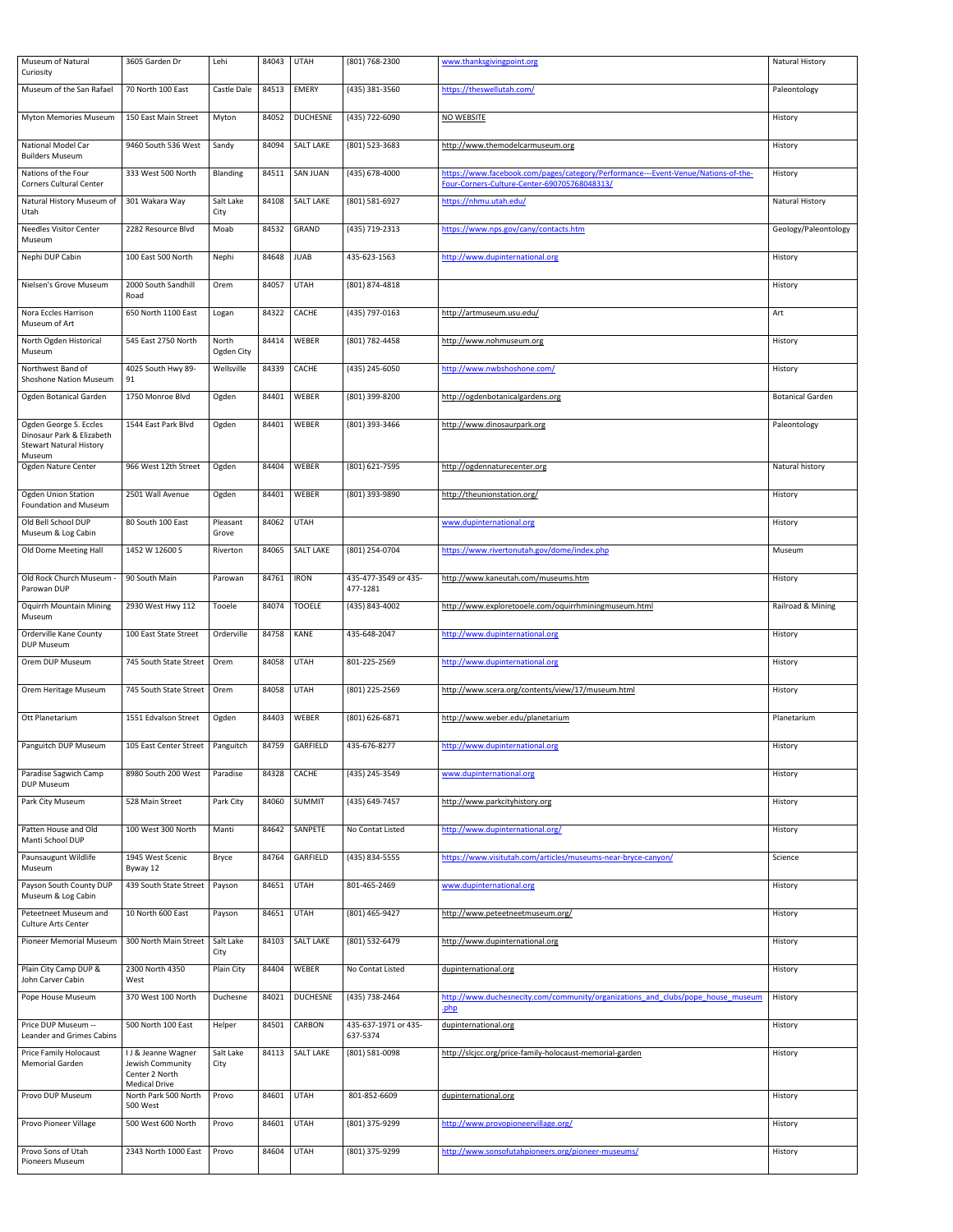| Museum of Natural<br>Curiosity                                                        | 3605 Garden Dr                                                                    | Lehi                | 84043 | <b>UTAH</b>      | (801) 768-2300                   | www.thanksgivingpoint.org                                                                                                         | <b>Natural History</b>  |
|---------------------------------------------------------------------------------------|-----------------------------------------------------------------------------------|---------------------|-------|------------------|----------------------------------|-----------------------------------------------------------------------------------------------------------------------------------|-------------------------|
| Museum of the San Rafael                                                              | 70 North 100 East                                                                 | Castle Dale         | 84513 | <b>EMERY</b>     | (435) 381-3560                   | https://theswellutah.com/                                                                                                         | Paleontology            |
| <b>Myton Memories Museum</b>                                                          | 150 East Main Street                                                              | Myton               | 84052 | <b>DUCHESNE</b>  | (435) 722-6090                   | NO WEBSITE                                                                                                                        | History                 |
| <b>National Model Car</b><br><b>Builders Museum</b>                                   | 9460 South 536 West                                                               | Sandy               | 84094 | <b>SALT LAKE</b> | (801) 523-3683                   | http://www.themodelcarmuseum.org                                                                                                  | History                 |
| Nations of the Four<br><b>Corners Cultural Center</b>                                 | 333 West 500 North                                                                | Blanding            | 84511 | <b>SAN JUAN</b>  | (435) 678-4000                   | https://www.facebook.com/pages/category/Performance---Event-Venue/Nations-of-the-<br>Four-Corners-Culture-Center-690705768048313/ | History                 |
| Natural History Museum of<br>Utah                                                     | 301 Wakara Way                                                                    | Salt Lake<br>City   | 84108 | <b>SALT LAKE</b> | (801) 581-6927                   | https://nhmu.utah.edu/                                                                                                            | <b>Natural History</b>  |
| <b>Needles Visitor Center</b><br>Museum                                               | 2282 Resource Blvd                                                                | Moab                | 84532 | GRAND            | (435) 719-2313                   | https://www.nps.gov/cany/contacts.htm                                                                                             | Geology/Paleontology    |
| Nephi DUP Cabin                                                                       | 100 East 500 North                                                                | Nephi               | 84648 | <b>JUAB</b>      | 435-623-1563                     | http://www.dupinternational.org                                                                                                   | History                 |
| Nielsen's Grove Museum                                                                | 2000 South Sandhill<br>Road                                                       | Orem                | 84057 | <b>UTAH</b>      | (801) 874-4818                   |                                                                                                                                   | History                 |
| Nora Eccles Harrison<br>Museum of Art                                                 | 650 North 1100 East                                                               | Logan               | 84322 | CACHE            | (435) 797-0163                   | http://artmuseum.usu.edu/                                                                                                         | Art                     |
| North Ogden Historical<br>Museum                                                      | 545 East 2750 North                                                               | North<br>Ogden City | 84414 | <b>WEBER</b>     | (801) 782-4458                   | http://www.nohmuseum.org                                                                                                          | History                 |
| Northwest Band of<br><b>Shoshone Nation Museum</b>                                    | 4025 South Hwy 89-<br>91                                                          | Wellsville          | 84339 | CACHE            | (435) 245-6050                   | http://www.nwbshoshone.com/                                                                                                       | History                 |
| Ogden Botanical Garden                                                                | 1750 Monroe Blvd                                                                  | Ogden               | 84401 | WEBER            | (801) 399-8200                   | http://ogdenbotanicalgardens.org                                                                                                  | <b>Botanical Garden</b> |
| Ogden George S. Eccles<br>Dinosaur Park & Elizabeth<br><b>Stewart Natural History</b> | 1544 East Park Blvd                                                               | Ogden               | 84401 | <b>WEBER</b>     | (801) 393-3466                   | http://www.dinosaurpark.org                                                                                                       | Paleontology            |
| Museum<br>Ogden Nature Center                                                         | 966 West 12th Street                                                              | Ogden               | 84404 | <b>WEBER</b>     | (801) 621-7595                   | http://ogdennaturecenter.org                                                                                                      | Natural history         |
| <b>Ogden Union Station</b><br><b>Foundation and Museum</b>                            | 2501 Wall Avenue                                                                  | Ogden               | 84401 | <b>WEBER</b>     | (801) 393-9890                   | http://theunionstation.org/                                                                                                       | History                 |
| Old Bell School DUP<br>Museum & Log Cabin                                             | 80 South 100 East                                                                 | Pleasant<br>Grove   | 84062 | <b>UTAH</b>      |                                  | www.dupinternational.org                                                                                                          | History                 |
| Old Dome Meeting Hall                                                                 | 1452 W 12600 S                                                                    | Riverton            | 84065 | <b>SALT LAKE</b> | (801) 254-0704                   | https://www.rivertonutah.gov/dome/index.php                                                                                       | Museum                  |
| Old Rock Church Museum -<br>Parowan DUP                                               | 90 South Main                                                                     | Parowan             | 84761 | <b>IRON</b>      | 435-477-3549 or 435-<br>477-1281 | http://www.kaneutah.com/museums.htm                                                                                               | History                 |
| <b>Oquirrh Mountain Mining</b><br>Museum                                              | 2930 West Hwy 112                                                                 | Tooele              | 84074 | <b>TOOELE</b>    | (435) 843-4002                   | http://www.exploretooele.com/oquirrhminingmuseum.html                                                                             | Railroad & Mining       |
| <b>Orderville Kane County</b><br><b>DUP Museum</b>                                    | 100 East State Street                                                             | Orderville          | 84758 | <b>KANE</b>      | 435-648-2047                     | http://www.dupinternational.org                                                                                                   | History                 |
| Orem DUP Museum                                                                       | 745 South State Street                                                            | Orem                | 84058 | <b>UTAH</b>      | 801-225-2569                     | http://www.dupinternational.org                                                                                                   | History                 |
| Orem Heritage Museum                                                                  | 745 South State Street                                                            | Orem                | 84058 | <b>UTAH</b>      | (801) 225-2569                   | http://www.scera.org/contents/view/17/museum.html                                                                                 | History                 |
| Ott Planetarium                                                                       | 1551 Edvalson Street                                                              | Ogden               | 84403 | <b>WEBER</b>     | (801) 626-6871                   | http://www.weber.edu/planetarium                                                                                                  | Planetarium             |
| Panguitch DUP Museum                                                                  | 105 East Center Street                                                            | Panguitch           | 84759 | GARFIELD         | 435-676-8277                     | http://www.dupinternational.org                                                                                                   | History                 |
| Paradise Sagwich Camp<br><b>DUP Museum</b>                                            | 8980 South 200 West                                                               | Paradise            | 84328 | <b>CACHE</b>     | (435) 245-3549                   | www.dupinternational.org                                                                                                          | History                 |
| Park City Museum                                                                      | 528 Main Street                                                                   | Park City           | 84060 | <b>SUMMIT</b>    | (435) 649-7457                   | http://www.parkcityhistory.org                                                                                                    | History                 |
| Patten House and Old<br>Manti School DUP                                              | 100 West 300 North                                                                | Manti               | 84642 | SANPETE          | No Contat Listed                 | http://www.dupinternational.org/                                                                                                  | History                 |
| Paunsaugunt Wildlife<br>Museum                                                        | 1945 West Scenic<br>Byway 12                                                      | Bryce               | 84764 | GARFIELD         | (435) 834-5555                   | https://www.visitutah.com/articles/museums-near-bryce-canyon/                                                                     | Science                 |
| Payson South County DUP<br>Museum & Log Cabin                                         | 439 South State Street                                                            | Payson              | 84651 | <b>UTAH</b>      | 801-465-2469                     | www.dupinternational.org                                                                                                          | History                 |
| Peteetneet Museum and<br><b>Culture Arts Center</b>                                   | 10 North 600 East                                                                 | Payson              | 84651 | <b>UTAH</b>      | (801) 465-9427                   | http://www.peteetneetmuseum.org/                                                                                                  | History                 |
| <b>Pioneer Memorial Museum</b>                                                        | 300 North Main Street                                                             | Salt Lake<br>City   | 84103 | <b>SALT LAKE</b> | (801) 532-6479                   | http://www.dupinternational.org                                                                                                   | History                 |
| Plain City Camp DUP &<br>John Carver Cabin                                            | 2300 North 4350<br>West                                                           | Plain City          | 84404 | WEBER            | No Contat Listed                 | dupinternational.org                                                                                                              | History                 |
| Pope House Museum                                                                     | 370 West 100 North                                                                | Duchesne            | 84021 | <b>DUCHESNE</b>  | (435) 738-2464                   | http://www.duchesnecity.com/community/organizations and clubs/pope house museum<br>.php                                           | History                 |
| Price DUP Museum --<br><b>Leander and Grimes Cabins</b>                               | 500 North 100 East                                                                | Helper              | 84501 | CARBON           | 435-637-1971 or 435-<br>637-5374 | dupinternational.org                                                                                                              | History                 |
| <b>Price Family Holocaust</b><br><b>Memorial Garden</b>                               | I J & Jeanne Wagner<br>Jewish Community<br>Center 2 North<br><b>Medical Drive</b> | Salt Lake<br>City   | 84113 | <b>SALT LAKE</b> | (801) 581-0098                   | http://slcjcc.org/price-family-holocaust-memorial-garden                                                                          | History                 |
| Provo DUP Museum                                                                      | North Park 500 North<br>500 West                                                  | Provo               | 84601 | <b>UTAH</b>      | 801-852-6609                     | dupinternational.org                                                                                                              | History                 |
| <b>Provo Pioneer Village</b>                                                          | 500 West 600 North                                                                | Provo               | 84601 | <b>UTAH</b>      | (801) 375-9299                   | http://www.provopioneervillage.org/                                                                                               | History                 |
| Provo Sons of Utah<br><b>Pioneers Museum</b>                                          | 2343 North 1000 East                                                              | Provo               | 84604 | <b>UTAH</b>      | (801) 375-9299                   | http://www.sonsofutahpioneers.org/pioneer-museums/                                                                                | History                 |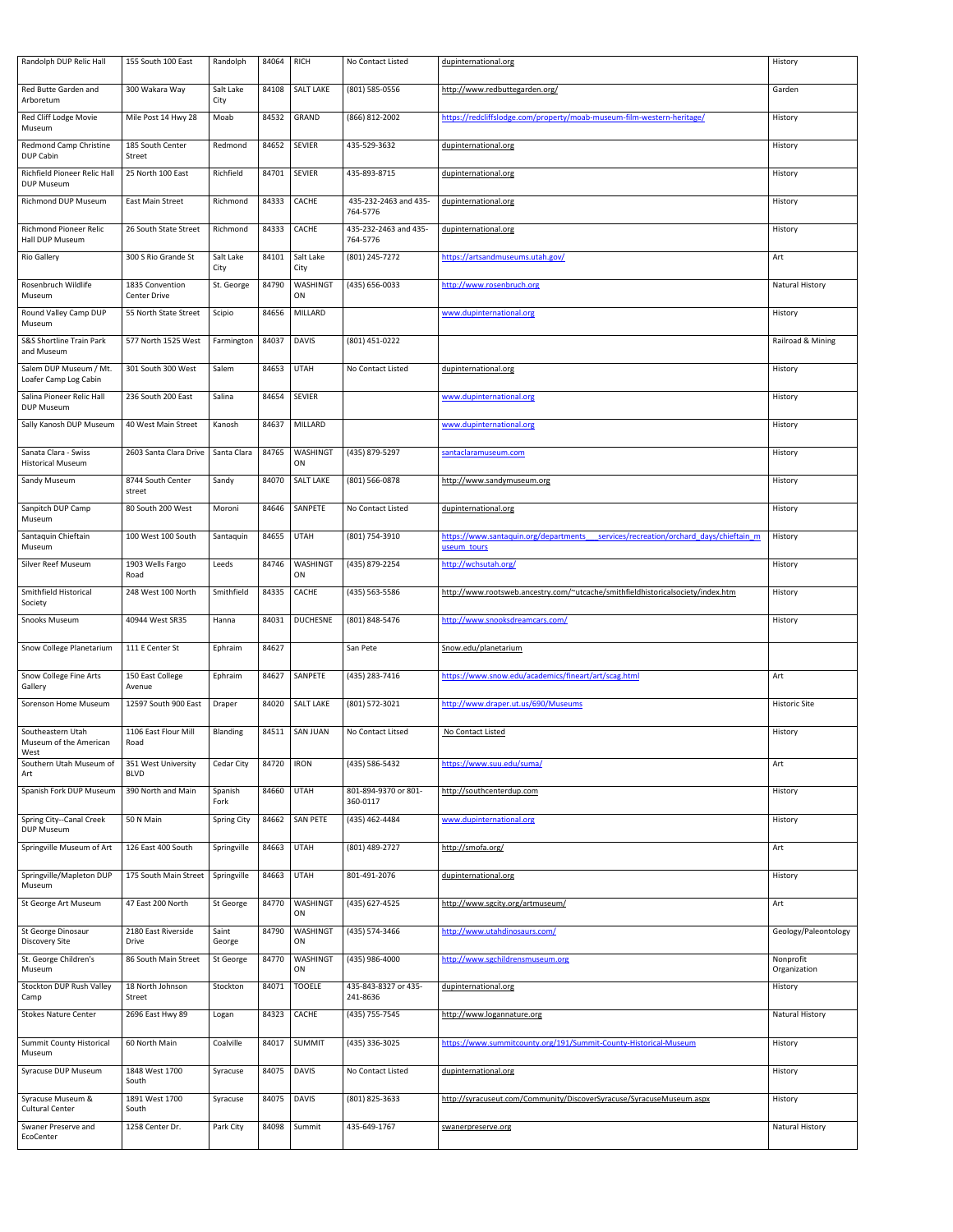| Randolph DUP Relic Hall                             | 155 South 100 East                     | Randolph           | 84064         | <b>RICH</b>           | No Contact Listed                 | dupinternational.org                                                                                 | History                   |
|-----------------------------------------------------|----------------------------------------|--------------------|---------------|-----------------------|-----------------------------------|------------------------------------------------------------------------------------------------------|---------------------------|
| Red Butte Garden and<br>Arboretum                   | 300 Wakara Way                         | Salt Lake<br>City  | 84108         | <b>SALT LAKE</b>      | (801) 585-0556                    | http://www.redbuttegarden.org/                                                                       | Garden                    |
| Red Cliff Lodge Movie<br>Museum                     | Mile Post 14 Hwy 28                    | Moab               | 84532         | GRAND                 | (866) 812-2002                    | https://redcliffslodge.com/property/moab-museum-film-western-heritage/                               | History                   |
| <b>Redmond Camp Christine</b><br>DUP Cabin          | 185 South Center<br>Street             | Redmond            | 84652         | <b>SEVIER</b>         | 435-529-3632                      | dupinternational.org                                                                                 | History                   |
| Richfield Pioneer Relic Hall<br><b>DUP Museum</b>   | 25 North 100 East                      | Richfield          | 84701         | <b>SEVIER</b>         | 435-893-8715                      | dupinternational.org                                                                                 | History                   |
| <b>Richmond DUP Museum</b>                          | <b>East Main Street</b>                | Richmond           | 84333         | <b>CACHE</b>          | 435-232-2463 and 435-<br>764-5776 | dupinternational.org                                                                                 | History                   |
| <b>Richmond Pioneer Relic</b><br>Hall DUP Museum    | 26 South State Street                  | Richmond           | 84333         | CACHE                 | 435-232-2463 and 435-<br>764-5776 | dupinternational.org                                                                                 | History                   |
| <b>Rio Gallery</b>                                  | 300 S Rio Grande St                    | Salt Lake<br>City  | 84101         | Salt Lake<br>City     | (801) 245-7272                    | https://artsandmuseums.utah.gov/                                                                     | Art                       |
| Rosenbruch Wildlife<br>Museum                       | 1835 Convention<br><b>Center Drive</b> | St. George         | 84790         | <b>WASHINGT</b><br>ON | (435) 656-0033                    | http://www.rosenbruch.org                                                                            | <b>Natural History</b>    |
| Round Valley Camp DUP<br>Museum                     | 55 North State Street                  | Scipio             | 84656         | <b>MILLARD</b>        |                                   | www.dupinternational.org                                                                             | History                   |
| S&S Shortline Train Park<br>and Museum              | 577 North 1525 West                    | Farmington         | 84037         | <b>DAVIS</b>          | (801) 451-0222                    |                                                                                                      | Railroad & Mining         |
| Salem DUP Museum / Mt.<br>Loafer Camp Log Cabin     | 301 South 300 West                     | Salem              | 84653         | <b>UTAH</b>           | No Contact Listed                 | dupinternational.org                                                                                 | History                   |
| Salina Pioneer Relic Hall<br><b>DUP Museum</b>      | 236 South 200 East                     | Salina             | 84654         | <b>SEVIER</b>         |                                   | www.dupinternational.org                                                                             | History                   |
| Sally Kanosh DUP Museum                             | 40 West Main Street                    | Kanosh             | 84637         | MILLARD               |                                   | www.dupinternational.org                                                                             | History                   |
| Sanata Clara - Swiss<br><b>Historical Museum</b>    | 2603 Santa Clara Drive                 | Santa Clara        | 84765         | <b>WASHINGT</b><br>ON | (435) 879-5297                    | santaclaramuseum.com                                                                                 | History                   |
| Sandy Museum                                        | 8744 South Center<br>street            | Sandy              | 84070         | <b>SALT LAKE</b>      | (801) 566-0878                    | http://www.sandymuseum.org                                                                           | History                   |
| Sanpitch DUP Camp<br>Museum                         | 80 South 200 West                      | Moroni             | 84646         | SANPETE               | No Contact Listed                 | dupinternational.org                                                                                 | History                   |
| Santaquin Chieftain<br>Museum                       | 100 West 100 South                     | Santaquin          | 84655         | <b>UTAH</b>           | (801) 754-3910                    | https://www.santaquin.org/departments<br>services/recreation/orchard days/chieftain m<br>useum tours | History                   |
| <b>Silver Reef Museum</b>                           | 1903 Wells Fargo<br>Road               | Leeds              | 84746         | <b>WASHINGT</b><br>ON | (435) 879-2254                    | http://wchsutah.org/                                                                                 | History                   |
| Smithfield Historical<br>Society                    | 248 West 100 North                     | Smithfield         | 84335         | CACHE                 | (435) 563-5586                    | http://www.rootsweb.ancestry.com/~utcache/smithfieldhistoricalsociety/index.htm                      | History                   |
| <b>Snooks Museum</b>                                | 40944 West SR35                        | Hanna              | 84031         | <b>DUCHESNE</b>       | (801) 848-5476                    | http://www.snooksdreamcars.com/                                                                      | History                   |
| Snow College Planetarium                            | 111 E Center St                        | Ephraim            | 84627         |                       | San Pete                          | Snow.edu/planetarium                                                                                 |                           |
| Snow College Fine Arts<br>Gallery                   | 150 East College<br>Avenue             | Ephraim            | 84627         | SANPETE               | (435) 283-7416                    | https://www.snow.edu/academics/fineart/art/scag.html                                                 | Art                       |
| Sorenson Home Museum                                | 12597 South 900 East                   | Draper             | 84020         | <b>SALT LAKE</b>      | (801) 572-3021                    | http://www.draper.ut.us/690/Museums                                                                  | <b>Historic Site</b>      |
| Southeastern Utah<br>Museum of the American<br>West | 1106 East Flour Mill<br>Road           | <b>Blanding</b>    | 84511         | <b>SAN JUAN</b>       | No Contact Litsed                 | No Contact Listed                                                                                    | History                   |
| Southern Utah Museum of<br>Art                      | 351 West University<br><b>BLVD</b>     | <b>Cedar City</b>  | 84720         | <b>IRON</b>           | (435) 586-5432                    | https://www.suu.edu/suma/                                                                            | Art                       |
| Spanish Fork DUP Museum                             | 390 North and Main                     | Spanish<br>Fork    | 84660         | <b>UTAH</b>           | 801-894-9370 or 801-<br>360-0117  | http://southcenterdup.com                                                                            | History                   |
| Spring City--Canal Creek<br><b>DUP Museum</b>       | 50 N Main                              | <b>Spring City</b> | 84662         | <b>SAN PETE</b>       | (435) 462-4484                    | www.dupinternational.org                                                                             | History                   |
| Springville Museum of Art                           | 126 East 400 South                     | Springville        | 84663         | <b>UTAH</b>           | (801) 489-2727                    | http://smofa.org/                                                                                    | Art                       |
| Springville/Mapleton DUP<br>Museum                  | 175 South Main Street                  | Springville        | 84663         | <b>UTAH</b>           | 801-491-2076                      | dupinternational.org                                                                                 | History                   |
| St George Art Museum                                |                                        |                    |               |                       |                                   |                                                                                                      |                           |
|                                                     | 47 East 200 North                      | St George          | 84770         | <b>WASHINGT</b><br>ON | (435) 627-4525                    | http://www.sgcity.org/artmuseum/                                                                     | Art                       |
| St George Dinosaur<br><b>Discovery Site</b>         | 2180 East Riverside<br><b>Drive</b>    | Saint<br>George    | 84790         | <b>WASHINGT</b><br>ON | (435) 574-3466                    | http://www.utahdinosaurs.com/                                                                        | Geology/Paleontology      |
| St. George Children's<br>Museum                     | 86 South Main Street                   | St George          | 84770         | <b>WASHINGT</b><br>ON | (435) 986-4000                    | http://www.sgchildrensmuseum.org                                                                     | Nonprofit<br>Organization |
| Stockton DUP Rush Valley<br>Camp                    | 18 North Johnson<br>Street             | Stockton           | 84071         | <b>TOOELE</b>         | 435-843-8327 or 435-<br>241-8636  | dupinternational.org                                                                                 | History                   |
| <b>Stokes Nature Center</b>                         | 2696 East Hwy 89                       | Logan              | 84323         | CACHE                 | (435) 755-7545                    | http://www.logannature.org                                                                           | <b>Natural History</b>    |
| <b>Summit County Historical</b><br>Museum           | 60 North Main                          | Coalville          | 84017         | <b>SUMMIT</b>         | (435) 336-3025                    | https://www.summitcounty.org/191/Summit-County-Historical-Museum                                     | History                   |
| Syracuse DUP Museum                                 | 1848 West 1700<br>South                | Syracuse           | 84075         | <b>DAVIS</b>          | No Contact Listed                 | dupinternational.org                                                                                 | History                   |
| Syracuse Museum &<br><b>Cultural Center</b>         | 1891 West 1700<br>South                | Syracuse           | 84075   DAVIS |                       | (801) 825-3633                    | http://syracuseut.com/Community/DiscoverSyracuse/SyracuseMuseum.aspx                                 | History                   |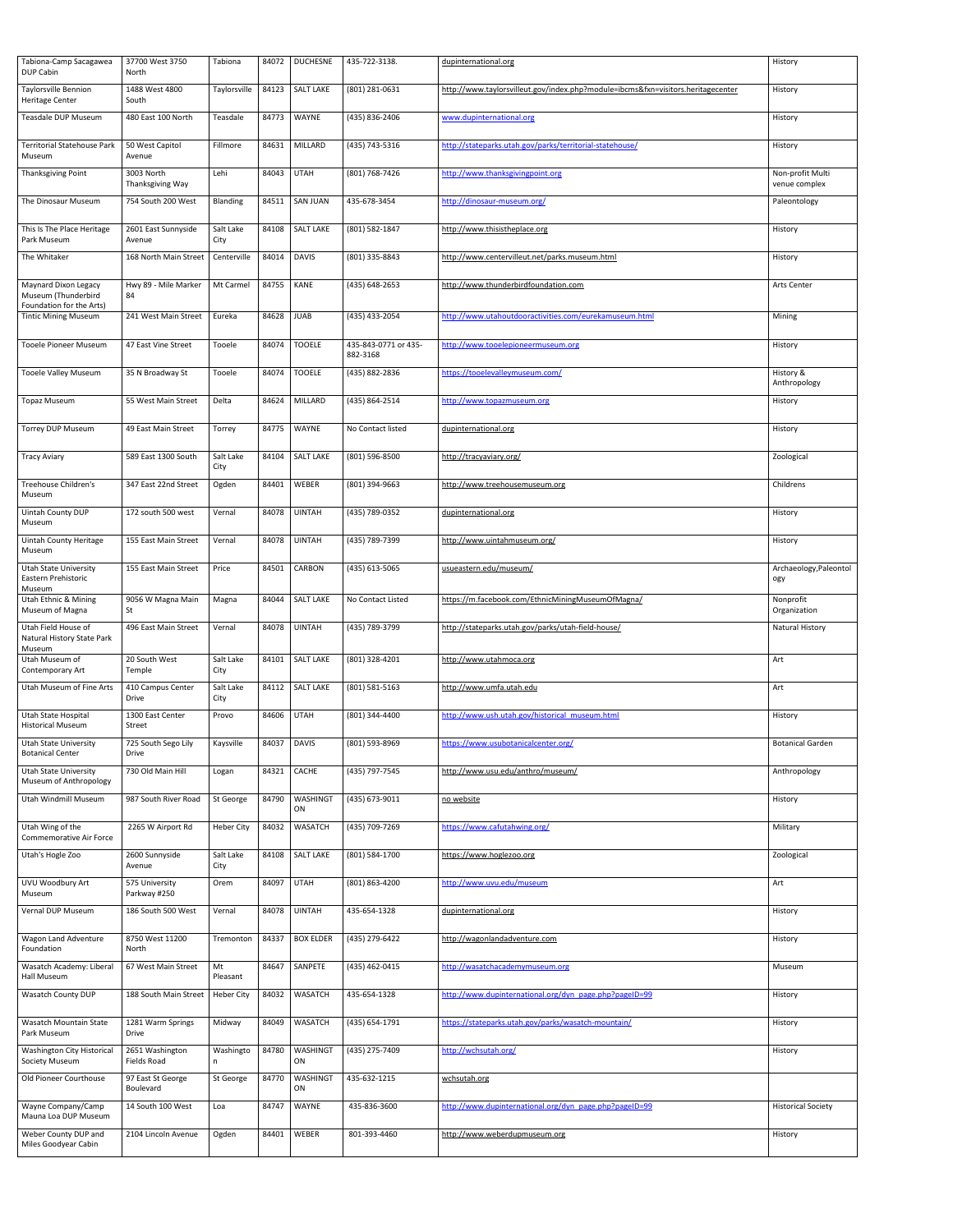| Tabiona-Camp Sacagawea<br>DUP Cabin                                            | 37700 West 3750<br>North           | Tabiona           | 84072 | <b>DUCHESNE</b>       | 435-722-3138.                    | dupinternational.org                                                             | History                                |
|--------------------------------------------------------------------------------|------------------------------------|-------------------|-------|-----------------------|----------------------------------|----------------------------------------------------------------------------------|----------------------------------------|
| <b>Taylorsville Bennion</b><br>Heritage Center                                 | 1488 West 4800<br>South            | Taylorsville      | 84123 | <b>SALT LAKE</b>      | (801) 281-0631                   | http://www.taylorsvilleut.gov/index.php?module=ibcms&fxn=visitors.heritagecenter | History                                |
| <b>Teasdale DUP Museum</b>                                                     | 480 East 100 North                 | Teasdale          | 84773 | WAYNE                 | (435) 836-2406                   | www.dupinternational.org                                                         | History                                |
| <b>Territorial Statehouse Park</b><br>Museum                                   | 50 West Capitol<br>Avenue          | Fillmore          | 84631 | MILLARD               | (435) 743-5316                   | http://stateparks.utah.gov/parks/territorial-statehouse/                         | History                                |
| Thanksgiving Point                                                             | 3003 North<br>Thanksgiving Way     | Lehi              | 84043 | <b>UTAH</b>           | (801) 768-7426                   | http://www.thanksgivingpoint.org                                                 | Non-profit Multi<br>venue complex      |
| The Dinosaur Museum                                                            | 754 South 200 West                 | Blanding          | 84511 | <b>SAN JUAN</b>       | 435-678-3454                     | http://dinosaur-museum.org/                                                      | Paleontology                           |
| This Is The Place Heritage<br>Park Museum                                      | 2601 East Sunnyside<br>Avenue      | Salt Lake<br>City | 84108 | <b>SALT LAKE</b>      | (801) 582-1847                   | http://www.thisistheplace.org                                                    | History                                |
| The Whitaker                                                                   | 168 North Main Street              | Centerville       | 84014 | <b>DAVIS</b>          | (801) 335-8843                   | http://www.centervilleut.net/parks.museum.html                                   | History                                |
| <b>Maynard Dixon Legacy</b><br>Museum (Thunderbird<br>Foundation for the Arts) | Hwy 89 - Mile Marker<br>84         | Mt Carmel         | 84755 | <b>KANE</b>           | (435) 648-2653                   | http://www.thunderbirdfoundation.com                                             | Arts Center                            |
| <b>Tintic Mining Museum</b>                                                    | 241 West Main Street               | Eureka            | 84628 | <b>JUAB</b>           | (435) 433-2054                   | http://www.utahoutdooractivities.com/eurekamuseum.html                           | Mining                                 |
| <b>Tooele Pioneer Museum</b>                                                   | 47 East Vine Street                | Tooele            | 84074 | <b>TOOELE</b>         | 435-843-0771 or 435-<br>882-3168 | http://www.tooelepioneermuseum.org                                               | History                                |
| <b>Tooele Valley Museum</b>                                                    | 35 N Broadway St                   | Tooele            | 84074 | <b>TOOELE</b>         | (435) 882-2836                   | https://tooelevalleymuseum.com/                                                  | History &<br>Anthropology              |
| <b>Topaz Museum</b>                                                            | 55 West Main Street                | Delta             |       | 84624 MILLARD         | (435) 864-2514                   | http://www.topazmuseum.org                                                       | History                                |
| <b>Torrey DUP Museum</b>                                                       | 49 East Main Street                | Torrey            | 84775 | WAYNE                 | No Contact listed                | dupinternational.org                                                             | History                                |
| <b>Tracy Aviary</b>                                                            | 589 East 1300 South                | Salt Lake<br>City | 84104 | <b>SALT LAKE</b>      | (801) 596-8500                   | http://tracyaviary.org/                                                          | Zoological                             |
| Treehouse Children's<br>Museum                                                 | 347 East 22nd Street               | Ogden             | 84401 | WEBER                 | (801) 394-9663                   | http://www.treehousemuseum.org                                                   | Childrens                              |
| Uintah County DUP<br>Museum                                                    | 172 south 500 west                 | Vernal            | 84078 | <b>UINTAH</b>         | (435) 789-0352                   | dupinternational.org                                                             | History                                |
| <b>Uintah County Heritage</b><br>Museum                                        | 155 East Main Street               | Vernal            | 84078 | <b>UINTAH</b>         | (435) 789-7399                   | http://www.uintahmuseum.org/                                                     | History                                |
| <b>Utah State University</b><br>Eastern Prehistoric                            | 155 East Main Street               | Price             | 84501 | CARBON                | (435) 613-5065                   | usueastern.edu/museum/                                                           | Archaeology, Paleontol<br>ogy          |
| Museum<br>Utah Ethnic & Mining                                                 | 9056 W Magna Main                  | Magna             | 84044 | <b>SALT LAKE</b>      | No Contact Listed                | https://m.facebook.com/EthnicMiningMuseumOfMagna/                                | Nonprofit                              |
|                                                                                |                                    |                   |       |                       |                                  |                                                                                  |                                        |
| Museum of Magna<br>Utah Field House of                                         | St<br>496 East Main Street         | Vernal            | 84078 | <b>UINTAH</b>         | (435) 789-3799                   | http://stateparks.utah.gov/parks/utah-field-house/                               | Organization<br><b>Natural History</b> |
| Natural History State Park<br>Museum<br>Utah Museum of<br>Contemporary Art     | 20 South West<br>Temple            | Salt Lake<br>City | 84101 | <b>SALT LAKE</b>      | (801) 328-4201                   | http://www.utahmoca.org                                                          | Art                                    |
| Utah Museum of Fine Arts                                                       | 410 Campus Center                  | Salt Lake         |       | 84112   SALT LAKE     | (801) 581-5163                   | http://www.umfa.utah.edu                                                         | Art                                    |
| Utah State Hospital                                                            | <b>Drive</b><br>1300 East Center   | City<br>Provo     | 84606 | <b>UTAH</b>           | (801) 344-4400                   | http://www.ush.utah.gov/historical museum.html                                   | History                                |
| <b>Historical Museum</b><br><b>Utah State University</b>                       | Street<br>725 South Sego Lily      | Kaysville         | 84037 | DAVIS                 | (801) 593-8969                   | https://www.usubotanicalcenter.org/                                              | <b>Botanical Garden</b>                |
| <b>Botanical Center</b><br><b>Utah State University</b>                        | Drive<br>730 Old Main Hill         | Logan             | 84321 | CACHE                 | (435) 797-7545                   | http://www.usu.edu/anthro/museum/                                                | Anthropology                           |
| Museum of Anthropology<br>Utah Windmill Museum                                 | 987 South River Road               | St George         | 84790 | <b>WASHINGT</b><br>ON | (435) 673-9011                   | no website                                                                       | History                                |
| Utah Wing of the                                                               | 2265 W Airport Rd                  | <b>Heber City</b> | 84032 | <b>WASATCH</b>        | (435) 709-7269                   | https://www.cafutahwing.org/                                                     | Military                               |
| <b>Commemorative Air Force</b><br>Utah's Hogle Zoo                             | 2600 Sunnyside<br>Avenue           | Salt Lake<br>City | 84108 | <b>SALT LAKE</b>      | (801) 584-1700                   | https://www.hoglezoo.org                                                         | Zoological                             |
| UVU Woodbury Art                                                               | 575 University                     | Orem              | 84097 | <b>UTAH</b>           | (801) 863-4200                   | http://www.uvu.edu/museum                                                        | Art                                    |
| Museum<br>Vernal DUP Museum                                                    | Parkway #250<br>186 South 500 West | Vernal            | 84078 | <b>UINTAH</b>         | 435-654-1328                     | dupinternational.org                                                             | History                                |
| Wagon Land Adventure<br>Foundation                                             | 8750 West 11200<br>North           | Tremonton         | 84337 | <b>BOX ELDER</b>      | (435) 279-6422                   | http://wagonlandadventure.com                                                    | History                                |
| Wasatch Academy: Liberal<br>Hall Museum                                        | 67 West Main Street                | Mt<br>Pleasant    | 84647 | SANPETE               | (435) 462-0415                   | http://wasatchacademymuseum.org                                                  | Museum                                 |
| <b>Wasatch County DUP</b>                                                      | 188 South Main Street              | <b>Heber City</b> | 84032 | <b>WASATCH</b>        | 435-654-1328                     | http://www.dupinternational.org/dyn_page.php?pageID=99                           | History                                |
| <b>Wasatch Mountain State</b><br>Park Museum                                   | 1281 Warm Springs<br><b>Drive</b>  | Midway            | 84049 | <b>WASATCH</b>        | (435) 654-1791                   | https://stateparks.utah.gov/parks/wasatch-mountain/                              | History                                |
| <b>Washington City Historical</b><br><b>Society Museum</b>                     | 2651 Washington<br>Fields Road     | Washingto<br>n    | 84780 | <b>WASHINGT</b><br>ON | (435) 275-7409                   | http://wchsutah.org/                                                             | History                                |
| Old Pioneer Courthouse                                                         | 97 East St George<br>Boulevard     | St George         | 84770 | <b>WASHINGT</b><br>ON | 435-632-1215                     | wchsutah.org                                                                     |                                        |
| Wayne Company/Camp<br>Mauna Loa DUP Museum                                     | 14 South 100 West                  | Loa               | 84747 | WAYNE                 | 435-836-3600                     | http://www.dupinternational.org/dyn_page.php?pageID=99                           | <b>Historical Society</b>              |